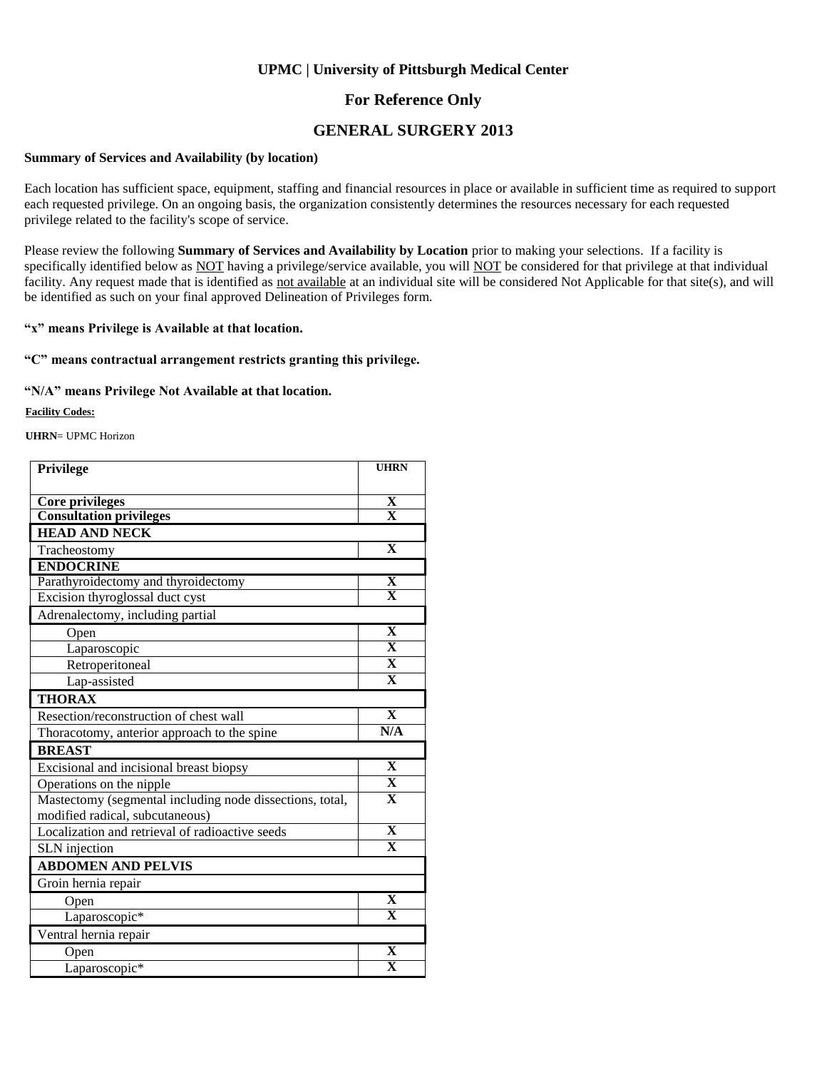#### **For Reference Only**

#### **GENERAL SURGERY 2013**

#### **Summary of Services and Availability (by location)**

Each location has sufficient space, equipment, staffing and financial resources in place or available in sufficient time as required to support each requested privilege. On an ongoing basis, the organization consistently determines the resources necessary for each requested privilege related to the facility's scope of service.

Please review the following **Summary of Services and Availability by Location** prior to making your selections. If a facility is specifically identified below as NOT having a privilege/service available, you will NOT be considered for that privilege at that individual facility. Any request made that is identified as not available at an individual site will be considered Not Applicable for that site(s), and will be identified as such on your final approved Delineation of Privileges form.

#### **"x" means Privilege is Available at that location.**

#### **"C" means contractual arrangement restricts granting this privilege.**

#### **"N/A" means Privilege Not Available at that location.**

**Facility Codes:**

**UHRN**= UPMC Horizon

| Privilege                                                | <b>UHRN</b>             |
|----------------------------------------------------------|-------------------------|
|                                                          |                         |
| <b>Core privileges</b>                                   | X                       |
| <b>Consultation privileges</b>                           | $\overline{\mathbf{X}}$ |
| <b>HEAD AND NECK</b>                                     |                         |
| Tracheostomy                                             | $\mathbf X$             |
| <b>ENDOCRINE</b>                                         |                         |
| Parathyroidectomy and thyroidectomy                      | $\overline{\mathbf{X}}$ |
| Excision thyroglossal duct cyst                          | $\overline{\mathbf{X}}$ |
| Adrenalectomy, including partial                         |                         |
| Open                                                     | $\overline{\mathbf{X}}$ |
| Laparoscopic                                             | $\mathbf{x}$            |
| Retroperitoneal                                          | $\overline{\mathbf{X}}$ |
| Lap-assisted                                             | $\overline{\mathbf{X}}$ |
| <b>THORAX</b>                                            |                         |
| Resection/reconstruction of chest wall                   | $\overline{\mathbf{X}}$ |
| Thoracotomy, anterior approach to the spine              | N/A                     |
| <b>BREAST</b>                                            |                         |
| Excisional and incisional breast biopsy                  | $\overline{\mathbf{X}}$ |
| Operations on the nipple                                 | $\overline{\mathbf{X}}$ |
| Mastectomy (segmental including node dissections, total, | $\mathbf X$             |
| modified radical, subcutaneous)                          |                         |
| Localization and retrieval of radioactive seeds          | $\overline{\mathbf{X}}$ |
| SLN injection                                            | $\overline{\mathbf{X}}$ |
| <b>ABDOMEN AND PELVIS</b>                                |                         |
| Groin hernia repair                                      |                         |
| Open                                                     | $\overline{\mathbf{X}}$ |
| Laparoscopic*                                            | $\overline{\mathbf{X}}$ |
| Ventral hernia repair                                    |                         |
| Open                                                     | $\overline{\mathbf{X}}$ |
| Laparoscopic*                                            | $\overline{\mathbf{X}}$ |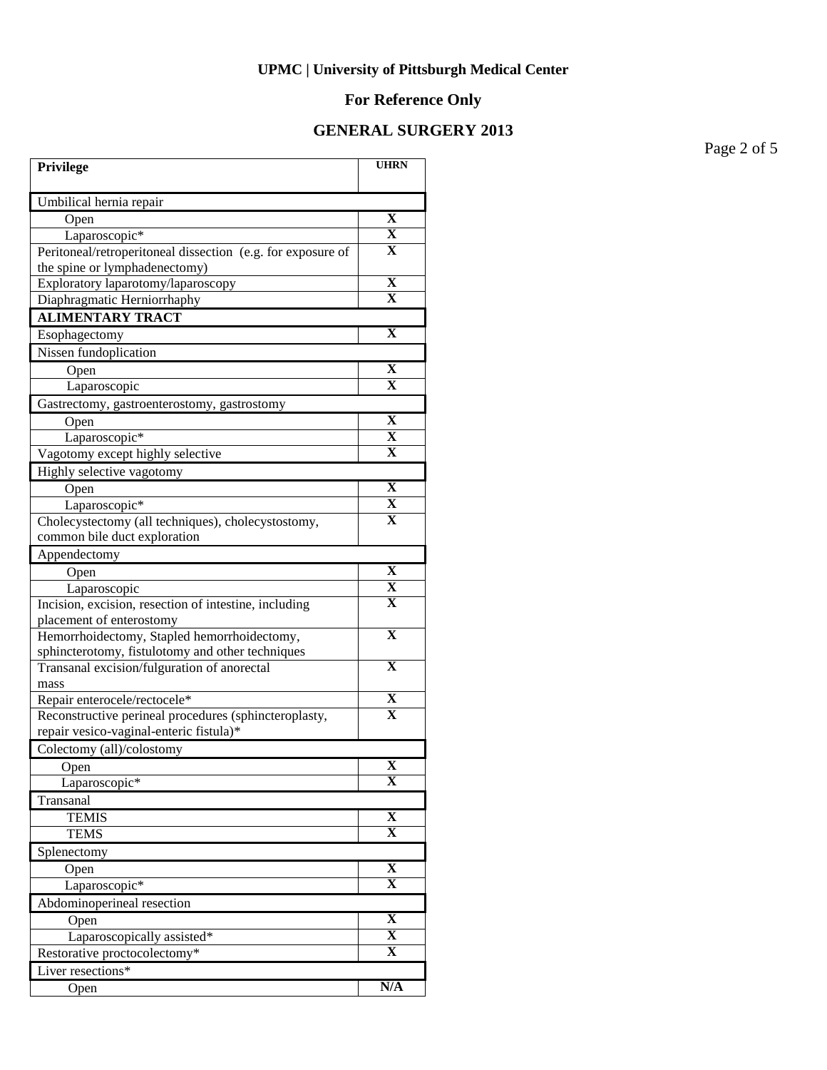## **For Reference Only**

### **GENERAL SURGERY 2013**

Page 2 of 5

| Privilege                                                   | <b>UHRN</b>             |
|-------------------------------------------------------------|-------------------------|
| Umbilical hernia repair                                     |                         |
| Open                                                        | X                       |
| Laparoscopic*                                               | X                       |
| Peritoneal/retroperitoneal dissection (e.g. for exposure of | X                       |
| the spine or lymphadenectomy)                               |                         |
| Exploratory laparotomy/laparoscopy                          | $\overline{\mathbf{X}}$ |
| Diaphragmatic Herniorrhaphy                                 | $\mathbf X$             |
| <b>ALIMENTARY TRACT</b>                                     |                         |
| Esophagectomy                                               | $\mathbf X$             |
| Nissen fundoplication                                       |                         |
| Open                                                        | X                       |
| Laparoscopic                                                | $\mathbf X$             |
| Gastrectomy, gastroenterostomy, gastrostomy                 |                         |
| Open                                                        | $\overline{\mathbf{X}}$ |
| Laparoscopic*                                               | $\overline{\mathbf{X}}$ |
| Vagotomy except highly selective                            | X                       |
| Highly selective vagotomy                                   |                         |
| Open                                                        | $\mathbf X$             |
| Laparoscopic*                                               | $\overline{\mathbf{X}}$ |
| Cholecystectomy (all techniques), cholecystostomy,          | X                       |
| common bile duct exploration                                |                         |
| Appendectomy                                                |                         |
| Open                                                        | X                       |
| Laparoscopic                                                | X                       |
| Incision, excision, resection of intestine, including       | $\overline{\mathbf{X}}$ |
| placement of enterostomy                                    |                         |
| Hemorrhoidectomy, Stapled hemorrhoidectomy,                 | X                       |
| sphincterotomy, fistulotomy and other techniques            | $\overline{\mathbf{X}}$ |
| Transanal excision/fulguration of anorectal<br>mass         |                         |
| Repair enterocele/rectocele*                                | $\overline{\mathbf{X}}$ |
| Reconstructive perineal procedures (sphincteroplasty,       | $\overline{\mathbf{X}}$ |
| repair vesico-vaginal-enteric fistula)*                     |                         |
| Colectomy (all)/colostomy                                   |                         |
| Open                                                        | $\mathbf X$             |
| Laparoscopic*                                               | $\overline{\textbf{X}}$ |
| Transanal                                                   |                         |
| <b>TEMIS</b>                                                | $\overline{\mathbf{X}}$ |
| <b>TEMS</b>                                                 | $\overline{\mathbf{X}}$ |
| Splenectomy                                                 |                         |
| Open                                                        | X                       |
| Laparoscopic*                                               | $\overline{\mathbf{X}}$ |
| Abdominoperineal resection                                  |                         |
| Open                                                        | $\mathbf X$             |
| Laparoscopically assisted*                                  | $\overline{\mathbf{X}}$ |
| Restorative proctocolectomy*                                | $\overline{\mathbf{X}}$ |
| Liver resections*                                           |                         |
| Open                                                        | N/A                     |
|                                                             |                         |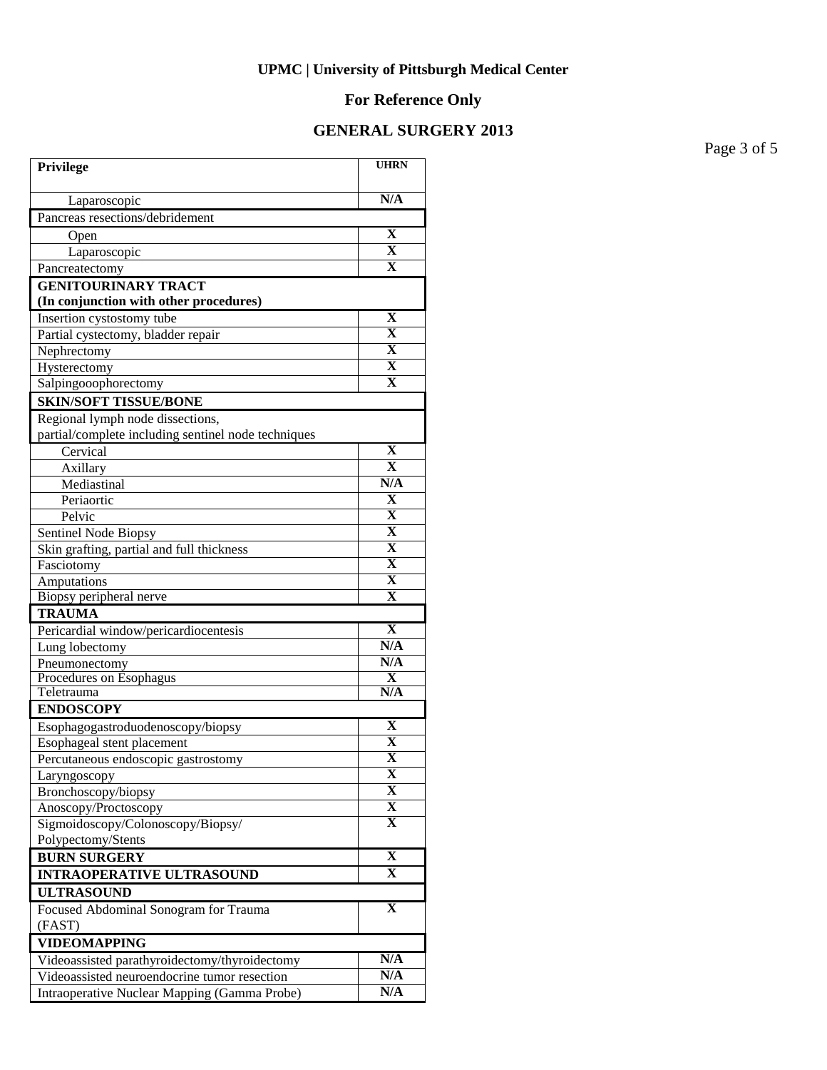## **For Reference Only**

### **GENERAL SURGERY 2013**

Page 3 of 5

| Privilege                                           | <b>UHRN</b>                    |
|-----------------------------------------------------|--------------------------------|
| Laparoscopic                                        | N/A                            |
| Pancreas resections/debridement                     |                                |
| Open                                                | X                              |
| Laparoscopic                                        | $\overline{\mathbf{X}}$        |
| Pancreatectomy                                      | $\overline{\textbf{X}}$        |
| <b>GENITOURINARY TRACT</b>                          |                                |
| (In conjunction with other procedures)              |                                |
| Insertion cystostomy tube                           | X                              |
| Partial cystectomy, bladder repair                  | $\mathbf X$                    |
| Nephrectomy                                         | X                              |
| Hysterectomy                                        | X                              |
| Salpingooophorectomy                                | $\mathbf X$                    |
| <b>SKIN/SOFT TISSUE/BONE</b>                        |                                |
| Regional lymph node dissections,                    |                                |
| partial/complete including sentinel node techniques |                                |
| Cervical                                            | $\mathbf X$                    |
| Axillary                                            | $\overline{\mathbf{X}}$        |
| Mediastinal                                         | N/A                            |
| Periaortic                                          | X                              |
| Pelvic                                              | $\overline{\textbf{X}}$        |
| Sentinel Node Biopsy                                | $\overline{\textbf{X}}$        |
| Skin grafting, partial and full thickness           | $\overline{\mathbf{X}}$        |
| Fasciotomy                                          | $\overline{\textbf{X}}$        |
| Amputations                                         | $\overline{\textbf{X}}$        |
| Biopsy peripheral nerve                             | $\mathbf X$                    |
| <b>TRAUMA</b>                                       |                                |
| Pericardial window/pericardiocentesis               | X                              |
| Lung lobectomy                                      | N/A                            |
| Pneumonectomy                                       | N/A<br>$\overline{\textbf{X}}$ |
| Procedures on Esophagus<br>Teletrauma               | N/A                            |
| <b>ENDOSCOPY</b>                                    |                                |
| Esophagogastroduodenoscopy/biopsy                   | X                              |
| Esophageal stent placement                          | X                              |
| Percutaneous endoscopic gastrostomy                 | $\overline{\mathbf{X}}$        |
| Laryngoscopy                                        | X                              |
| Bronchoscopy/biopsy                                 | X                              |
| Anoscopy/Proctoscopy                                | $\overline{\mathbf{X}}$        |
| Sigmoidoscopy/Colonoscopy/Biopsy/                   | X                              |
| Polypectomy/Stents                                  |                                |
| <b>BURN SURGERY</b>                                 | $\overline{\textbf{X}}$        |
| <b>INTRAOPERATIVE ULTRASOUND</b>                    | X                              |
| <b>ULTRASOUND</b>                                   |                                |
| Focused Abdominal Sonogram for Trauma<br>(FAST)     | $\mathbf X$                    |
| <b>VIDEOMAPPING</b>                                 |                                |
| Videoassisted parathyroidectomy/thyroidectomy       | N/A                            |
| Videoassisted neuroendocrine tumor resection        | N/A                            |
| Intraoperative Nuclear Mapping (Gamma Probe)        | N/A                            |
|                                                     |                                |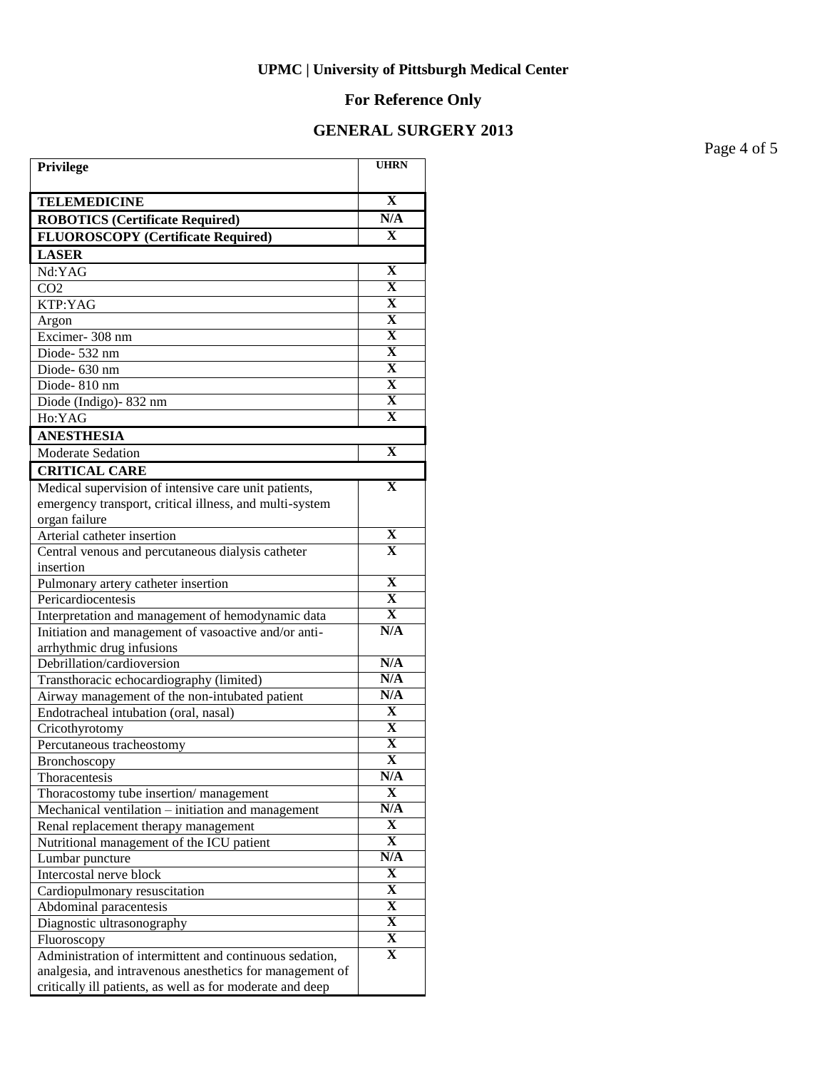## **For Reference Only**

### **GENERAL SURGERY 2013**

Page 4 of 5

| Privilege                                                 | <b>UHRN</b>             |
|-----------------------------------------------------------|-------------------------|
| <b>TELEMEDICINE</b>                                       | X                       |
| <b>ROBOTICS (Certificate Required)</b>                    | N/A                     |
| <b>FLUOROSCOPY</b> (Certificate Required)                 | $\mathbf{x}$            |
| <b>LASER</b>                                              |                         |
| Nd:YAG                                                    | X                       |
| CO <sub>2</sub>                                           | $\overline{\mathbf{X}}$ |
| KTP:YAG                                                   | $\overline{\mathbf{X}}$ |
| Argon                                                     | $\overline{\mathbf{X}}$ |
| Excimer-308 nm                                            | $\overline{\mathbf{X}}$ |
| Diode-532 nm                                              | $\overline{\mathbf{X}}$ |
| Diode-630 nm                                              | $\overline{\mathbf{X}}$ |
| Diode-810 nm                                              | $\overline{\mathbf{X}}$ |
| Diode (Indigo)-832 nm                                     | $\overline{\mathbf{X}}$ |
| Ho:YAG                                                    | $\overline{\mathbf{X}}$ |
| <b>ANESTHESIA</b>                                         |                         |
| <b>Moderate Sedation</b>                                  | $\mathbf X$             |
| <b>CRITICAL CARE</b>                                      |                         |
| Medical supervision of intensive care unit patients,      | $\mathbf X$             |
| emergency transport, critical illness, and multi-system   |                         |
| organ failure                                             |                         |
| Arterial catheter insertion                               | $\overline{\mathbf{X}}$ |
| Central venous and percutaneous dialysis catheter         | $\overline{\textbf{X}}$ |
| insertion                                                 |                         |
| Pulmonary artery catheter insertion                       | X                       |
| Pericardiocentesis                                        | $\overline{\textbf{X}}$ |
| Interpretation and management of hemodynamic data         | $\overline{\mathbf{X}}$ |
| Initiation and management of vasoactive and/or anti-      | N/A                     |
| arrhythmic drug infusions                                 |                         |
| Debrillation/cardioversion                                | N/A<br>N/A              |
| Transthoracic echocardiography (limited)                  | N/A                     |
| Airway management of the non-intubated patient            | $\mathbf{X}$            |
| Endotracheal intubation (oral, nasal)                     | $\mathbf X$             |
| Cricothyrotomy<br>Percutaneous tracheostomy               | $\mathbf X$             |
|                                                           | $\overline{\mathbf{X}}$ |
| <b>Bronchoscopy</b><br>Thoracentesis                      | N/A                     |
| Thoracostomy tube insertion/management                    | $\mathbf X$             |
| Mechanical ventilation – initiation and management        | N/A                     |
| Renal replacement therapy management                      | X                       |
| Nutritional management of the ICU patient                 | $\mathbf X$             |
| Lumbar puncture                                           | N/A                     |
| Intercostal nerve block                                   | $\mathbf X$             |
| Cardiopulmonary resuscitation                             | X                       |
| Abdominal paracentesis                                    | X                       |
| Diagnostic ultrasonography                                | $\mathbf X$             |
| Fluoroscopy                                               | X                       |
| Administration of intermittent and continuous sedation,   | X                       |
| analgesia, and intravenous anesthetics for management of  |                         |
| critically ill patients, as well as for moderate and deep |                         |